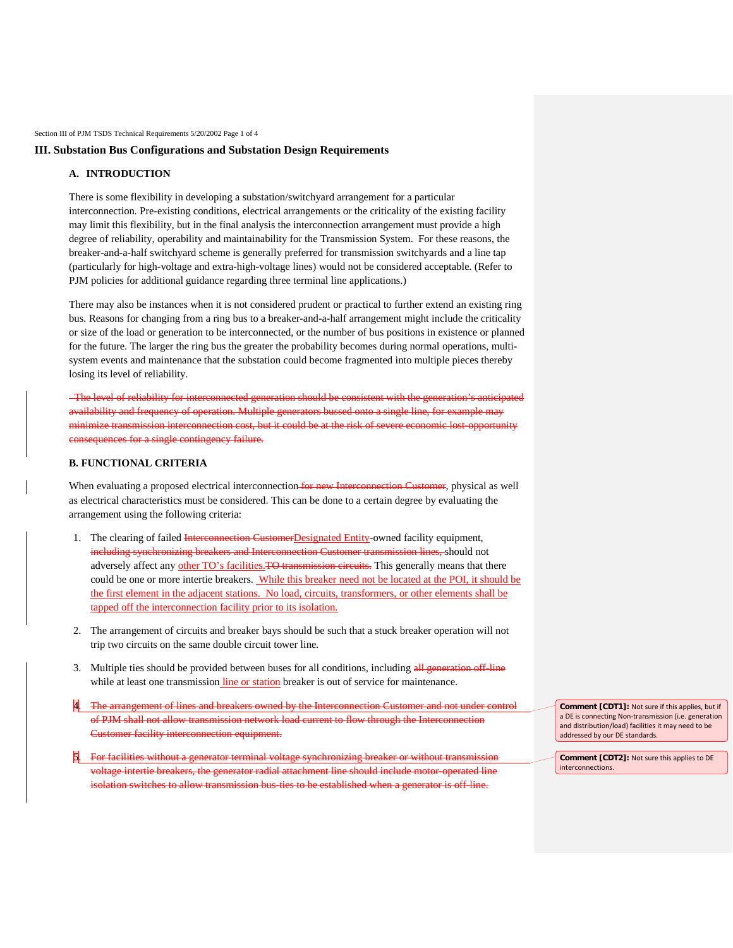Section III of PJM TSDS Technical Requirements 5/20/2002 Page 1 of 4

# **III. Substation Bus Configurations and Substation Design Requirements**

# **A. INTRODUCTION**

There is some flexibility in developing a substation/switchyard arrangement for a particular interconnection. Pre-existing conditions, electrical arrangements or the criticality of the existing facility may limit this flexibility, but in the final analysis the interconnection arrangement must provide a high degree of reliability, operability and maintainability for the Transmission System. For these reasons, the breaker-and-a-half switchyard scheme is generally preferred for transmission switchyards and a line tap (particularly for high-voltage and extra-high-voltage lines) would not be considered acceptable. (Refer to PJM policies for additional guidance regarding three terminal line applications.)

There may also be instances when it is not considered prudent or practical to further extend an existing ring bus. Reasons for changing from a ring bus to a breaker-and-a-half arrangement might include the criticality or size of the load or generation to be interconnected, or the number of bus positions in existence or planned for the future. The larger the ring bus the greater the probability becomes during normal operations, multisystem events and maintenance that the substation could become fragmented into multiple pieces thereby losing its level of reliability.

 The level of reliability for interconnected generation should be consistent with the generation's anticipated availability and frequency of operation. Multiple generators bussed onto a single line, for example may minimize transmission interconnection cost, but it could be at the risk of severe economic lost-opportunity consequences for a single contingency failure.

### **B. FUNCTIONAL CRITERIA**

When evaluating a proposed electrical interconnection for new Interconnection Customer, physical as well as electrical characteristics must be considered. This can be done to a certain degree by evaluating the arrangement using the following criteria:

- 1. The clearing of failed Interconnection CustomerDesignated Entity-owned facility equipment, including synchronizing breakers and Interconnection Customer transmission lines, should not adversely affect any other TO's facilities. TO transmission circuits. This generally means that there could be one or more intertie breakers. While this breaker need not be located at the POI, it should be the first element in the adjacent stations. No load, circuits, transformers, or other elements shall be tapped off the interconnection facility prior to its isolation.
- 2. The arrangement of circuits and breaker bays should be such that a stuck breaker operation will not trip two circuits on the same double circuit tower line.
- 3. Multiple ties should be provided between buses for all conditions, including all generation off-line while at least one transmission line or station breaker is out of service for maintenance.
- 4. The arrangement of lines and breakers owned by the Interconnection Customer and not under control of PJM shall not allow transmission network load current to flow through the Interconnection Customer facility interconnection equipment.
- 5. For facilities without a generator terminal voltage synchronizing breaker or without transmission voltage intertie breakers, the generator radial attachment line should include motor-operated line isolation switches to allow transmission bus-ties to be established when a generator is off-line.

**Comment [CDT1]:** Not sure if this applies, but if a DE is connecting Non-transmission (i.e. generation and distribution/load) facilities it may need to be addressed by our DE standards.

**Comment [CDT2]:** Not sure this applies to DE interconnections.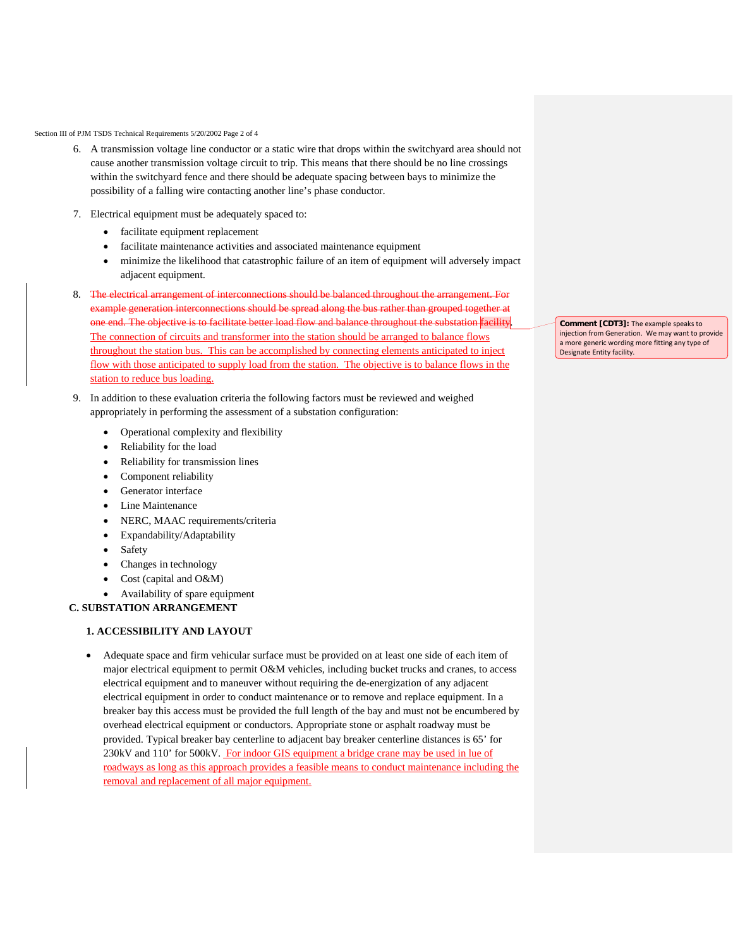Section III of PJM TSDS Technical Requirements 5/20/2002 Page 2 of 4

- 6. A transmission voltage line conductor or a static wire that drops within the switchyard area should not cause another transmission voltage circuit to trip. This means that there should be no line crossings within the switchyard fence and there should be adequate spacing between bays to minimize the possibility of a falling wire contacting another line's phase conductor.
- 7. Electrical equipment must be adequately spaced to:
	- facilitate equipment replacement
	- facilitate maintenance activities and associated maintenance equipment
	- minimize the likelihood that catastrophic failure of an item of equipment will adversely impact adjacent equipment.
- 8. The electrical arrangement of interconnections should be balanced throughout the arrangement. For example generation interconnections should be spread along the bus rather than grouped together at one end. The objective is to facilitate better load flow and balance throughout the substation facility. The connection of circuits and transformer into the station should be arranged to balance flows throughout the station bus. This can be accomplished by connecting elements anticipated to inject flow with those anticipated to supply load from the station. The objective is to balance flows in the station to reduce bus loading.
- 9. In addition to these evaluation criteria the following factors must be reviewed and weighed appropriately in performing the assessment of a substation configuration:
	- Operational complexity and flexibility
	- Reliability for the load
	- Reliability for transmission lines
	- Component reliability
	- Generator interface
	- **Line Maintenance**
	- NERC, MAAC requirements/criteria
	- Expandability/Adaptability
	- **Safety**
	- Changes in technology
	- Cost (capital and O&M)
	- Availability of spare equipment

#### **C. SUBSTATION ARRANGEMENT**

# **1. ACCESSIBILITY AND LAYOUT**

• Adequate space and firm vehicular surface must be provided on at least one side of each item of major electrical equipment to permit O&M vehicles, including bucket trucks and cranes, to access electrical equipment and to maneuver without requiring the de-energization of any adjacent electrical equipment in order to conduct maintenance or to remove and replace equipment. In a breaker bay this access must be provided the full length of the bay and must not be encumbered by overhead electrical equipment or conductors. Appropriate stone or asphalt roadway must be provided. Typical breaker bay centerline to adjacent bay breaker centerline distances is 65' for 230kV and 110' for 500kV. For indoor GIS equipment a bridge crane may be used in lue of roadways as long as this approach provides a feasible means to conduct maintenance including the removal and replacement of all major equipment.

**Comment [CDT3]:** The example speaks to injection from Generation. We may want to provide a more generic wording more fitting any type of Designate Entity facility.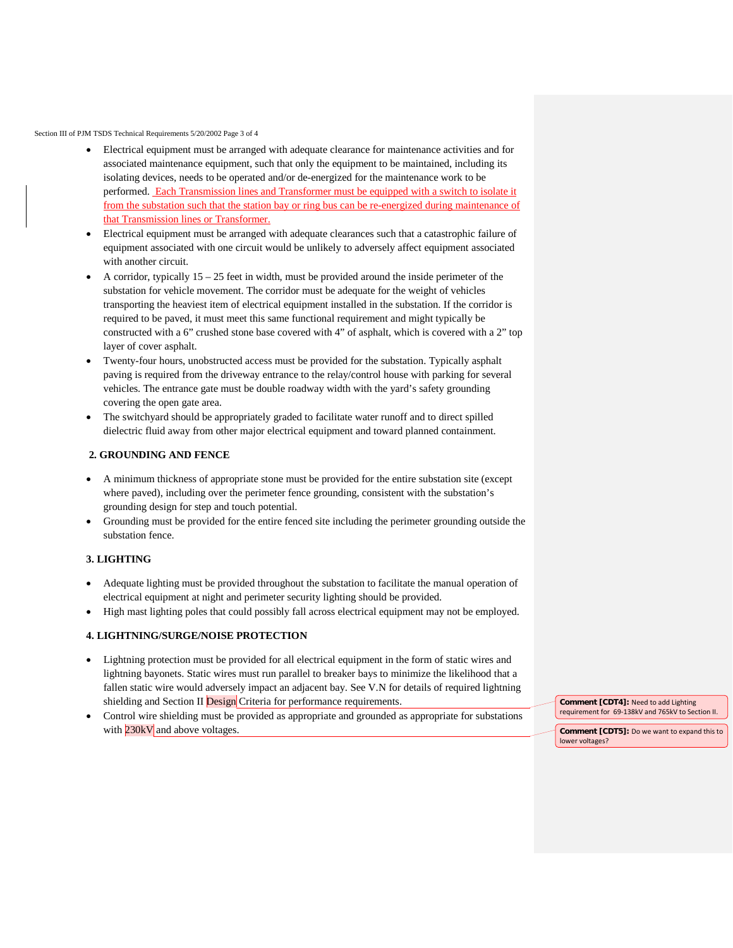Section III of PJM TSDS Technical Requirements 5/20/2002 Page 3 of 4

- Electrical equipment must be arranged with adequate clearance for maintenance activities and for associated maintenance equipment, such that only the equipment to be maintained, including its isolating devices, needs to be operated and/or de-energized for the maintenance work to be performed. Each Transmission lines and Transformer must be equipped with a switch to isolate it from the substation such that the station bay or ring bus can be re-energized during maintenance of that Transmission lines or Transformer.
- Electrical equipment must be arranged with adequate clearances such that a catastrophic failure of equipment associated with one circuit would be unlikely to adversely affect equipment associated with another circuit.
- A corridor, typically 15 25 feet in width, must be provided around the inside perimeter of the substation for vehicle movement. The corridor must be adequate for the weight of vehicles transporting the heaviest item of electrical equipment installed in the substation. If the corridor is required to be paved, it must meet this same functional requirement and might typically be constructed with a 6" crushed stone base covered with 4" of asphalt, which is covered with a 2" top layer of cover asphalt.
- Twenty-four hours, unobstructed access must be provided for the substation. Typically asphalt paving is required from the driveway entrance to the relay/control house with parking for several vehicles. The entrance gate must be double roadway width with the yard's safety grounding covering the open gate area.
- The switchyard should be appropriately graded to facilitate water runoff and to direct spilled dielectric fluid away from other major electrical equipment and toward planned containment.

### **2. GROUNDING AND FENCE**

- A minimum thickness of appropriate stone must be provided for the entire substation site (except where paved), including over the perimeter fence grounding, consistent with the substation's grounding design for step and touch potential.
- Grounding must be provided for the entire fenced site including the perimeter grounding outside the substation fence.

# **3. LIGHTING**

- Adequate lighting must be provided throughout the substation to facilitate the manual operation of electrical equipment at night and perimeter security lighting should be provided.
- High mast lighting poles that could possibly fall across electrical equipment may not be employed.

# **4. LIGHTNING/SURGE/NOISE PROTECTION**

- Lightning protection must be provided for all electrical equipment in the form of static wires and lightning bayonets. Static wires must run parallel to breaker bays to minimize the likelihood that a fallen static wire would adversely impact an adjacent bay. See V.N for details of required lightning shielding and Section II **Design** Criteria for performance requirements.
- Control wire shielding must be provided as appropriate and grounded as appropriate for substations with 230kV and above voltages.

**Comment [CDT4]:** Need to add Lighting requirement for 69-138kV and 765kV to Section II.

**Comment [CDT5]:** Do we want to expand this to lower voltages?